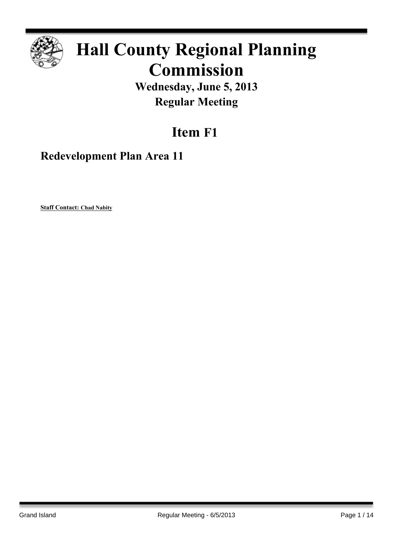

# **Hall County Regional Planning Commission**

**Wednesday, June 5, 2013 Regular Meeting**

## **Item F1**

**Redevelopment Plan Area 11**

**Staff Contact: Chad Nabity**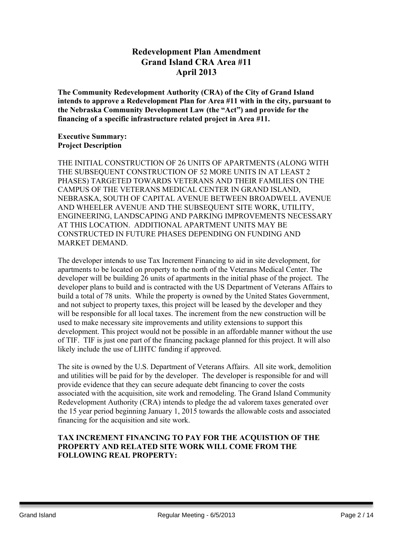## **Redevelopment Plan Amendment Grand Island CRA Area #11 April 2013**

**The Community Redevelopment Authority (CRA) of the City of Grand Island intends to approve a Redevelopment Plan for Area #11 with in the city, pursuant to the Nebraska Community Development Law (the "Act") and provide for the financing of a specific infrastructure related project in Area #11.**

## **Executive Summary: Project Description**

THE INITIAL CONSTRUCTION OF 26 UNITS OF APARTMENTS (ALONG WITH THE SUBSEQUENT CONSTRUCTION OF 52 MORE UNITS IN AT LEAST 2 PHASES) TARGETED TOWARDS VETERANS AND THEIR FAMILIES ON THE CAMPUS OF THE VETERANS MEDICAL CENTER IN GRAND ISLAND, NEBRASKA, SOUTH OF CAPITAL AVENUE BETWEEN BROADWELL AVENUE AND WHEELER AVENUE AND THE SUBSEQUENT SITE WORK, UTILITY, ENGINEERING, LANDSCAPING AND PARKING IMPROVEMENTS NECESSARY AT THIS LOCATION. ADDITIONAL APARTMENT UNITS MAY BE CONSTRUCTED IN FUTURE PHASES DEPENDING ON FUNDING AND MARKET DEMAND.

The developer intends to use Tax Increment Financing to aid in site development, for apartments to be located on property to the north of the Veterans Medical Center. The developer will be building 26 units of apartments in the initial phase of the project. The developer plans to build and is contracted with the US Department of Veterans Affairs to build a total of 78 units. While the property is owned by the United States Government, and not subject to property taxes, this project will be leased by the developer and they will be responsible for all local taxes. The increment from the new construction will be used to make necessary site improvements and utility extensions to support this development. This project would not be possible in an affordable manner without the use of TIF. TIF is just one part of the financing package planned for this project. It will also likely include the use of LIHTC funding if approved.

The site is owned by the U.S. Department of Veterans Affairs. All site work, demolition and utilities will be paid for by the developer. The developer is responsible for and will provide evidence that they can secure adequate debt financing to cover the costs associated with the acquisition, site work and remodeling. The Grand Island Community Redevelopment Authority (CRA) intends to pledge the ad valorem taxes generated over the 15 year period beginning January 1, 2015 towards the allowable costs and associated financing for the acquisition and site work.

## **TAX INCREMENT FINANCING TO PAY FOR THE ACQUISTION OF THE PROPERTY AND RELATED SITE WORK WILL COME FROM THE FOLLOWING REAL PROPERTY:**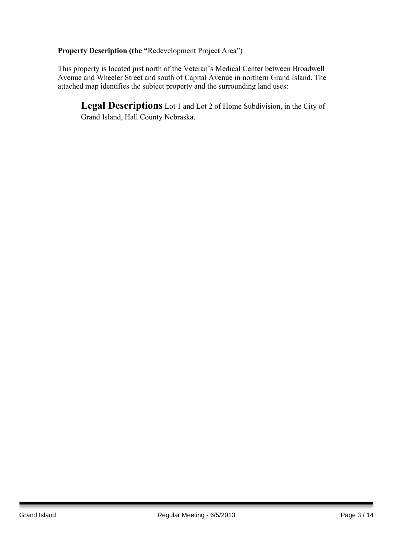**Property Description (the "**Redevelopment Project Area")

This property is located just north of the Veteran's Medical Center between Broadwell Avenue and Wheeler Street and south of Capital Avenue in northern Grand Island. The attached map identifies the subject property and the surrounding land uses:

**Legal Descriptions** Lot 1 and Lot 2 of Home Subdivision, in the City of Grand Island, Hall County Nebraska.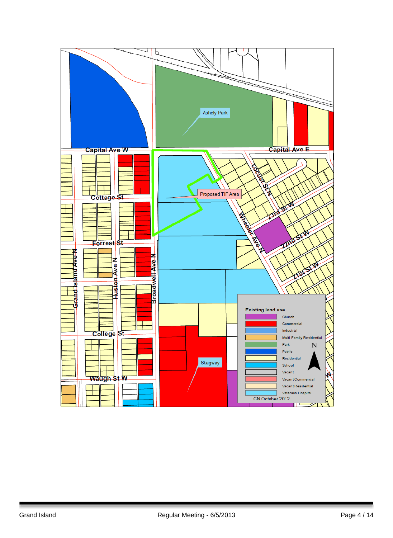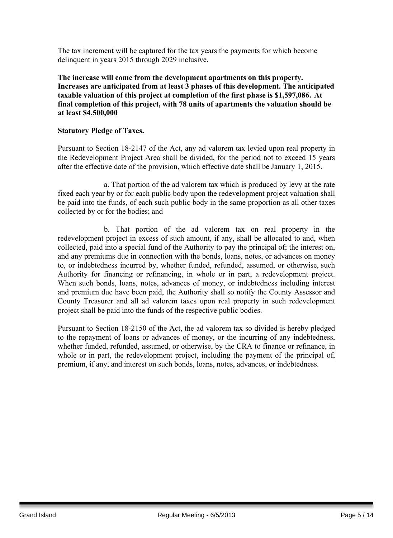The tax increment will be captured for the tax years the payments for which become delinquent in years 2015 through 2029 inclusive.

**The increase will come from the development apartments on this property. Increases are anticipated from at least 3 phases of this development. The anticipated taxable valuation of this project at completion of the first phase is \$1,597,086. At final completion of this project, with 78 units of apartments the valuation should be at least \$4,500,000**

## **Statutory Pledge of Taxes.**

Pursuant to Section 18-2147 of the Act, any ad valorem tax levied upon real property in the Redevelopment Project Area shall be divided, for the period not to exceed 15 years after the effective date of the provision, which effective date shall be January 1, 2015.

a. That portion of the ad valorem tax which is produced by levy at the rate fixed each year by or for each public body upon the redevelopment project valuation shall be paid into the funds, of each such public body in the same proportion as all other taxes collected by or for the bodies; and

b. That portion of the ad valorem tax on real property in the redevelopment project in excess of such amount, if any, shall be allocated to and, when collected, paid into a special fund of the Authority to pay the principal of; the interest on, and any premiums due in connection with the bonds, loans, notes, or advances on money to, or indebtedness incurred by, whether funded, refunded, assumed, or otherwise, such Authority for financing or refinancing, in whole or in part, a redevelopment project. When such bonds, loans, notes, advances of money, or indebtedness including interest and premium due have been paid, the Authority shall so notify the County Assessor and County Treasurer and all ad valorem taxes upon real property in such redevelopment project shall be paid into the funds of the respective public bodies.

Pursuant to Section 18-2150 of the Act, the ad valorem tax so divided is hereby pledged to the repayment of loans or advances of money, or the incurring of any indebtedness, whether funded, refunded, assumed, or otherwise, by the CRA to finance or refinance, in whole or in part, the redevelopment project, including the payment of the principal of, premium, if any, and interest on such bonds, loans, notes, advances, or indebtedness.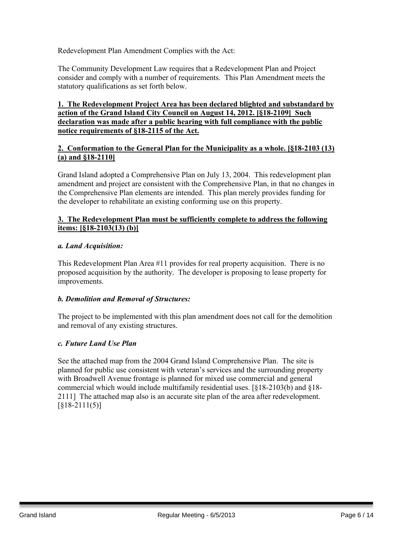Redevelopment Plan Amendment Complies with the Act:

The Community Development Law requires that a Redevelopment Plan and Project consider and comply with a number of requirements. This Plan Amendment meets the statutory qualifications as set forth below.

## **1. The Redevelopment Project Area has been declared blighted and substandard by action of the Grand Island City Council on August 14, 2012. [§18-2109] Such declaration was made after a public hearing with full compliance with the public notice requirements of §18-2115 of the Act.**

## **2. Conformation to the General Plan for the Municipality as a whole. [§18-2103 (13) (a) and §18-2110]**

Grand Island adopted a Comprehensive Plan on July 13, 2004. This redevelopment plan amendment and project are consistent with the Comprehensive Plan, in that no changes in the Comprehensive Plan elements are intended. This plan merely provides funding for the developer to rehabilitate an existing conforming use on this property.

## **3. The Redevelopment Plan must be sufficiently complete to address the following items: [§18-2103(13) (b)]**

## *a. Land Acquisition:*

This Redevelopment Plan Area #11 provides for real property acquisition. There is no proposed acquisition by the authority. The developer is proposing to lease property for improvements.

## *b. Demolition and Removal of Structures:*

The project to be implemented with this plan amendment does not call for the demolition and removal of any existing structures.

## *c. Future Land Use Plan*

See the attached map from the 2004 Grand Island Comprehensive Plan. The site is planned for public use consistent with veteran's services and the surrounding property with Broadwell Avenue frontage is planned for mixed use commercial and general commercial which would include multifamily residential uses. [§18-2103(b) and §18- 2111] The attached map also is an accurate site plan of the area after redevelopment.  $[818-2111(5)]$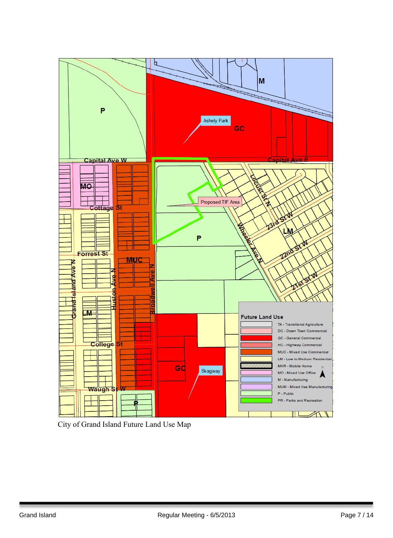

City of Grand Island Future Land Use Map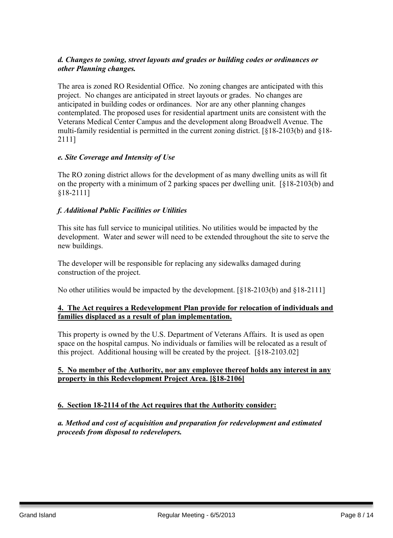## *d. Changes to zoning, street layouts and grades or building codes or ordinances or other Planning changes.*

The area is zoned RO Residential Office. No zoning changes are anticipated with this project. No changes are anticipated in street layouts or grades. No changes are anticipated in building codes or ordinances. Nor are any other planning changes contemplated. The proposed uses for residential apartment units are consistent with the Veterans Medical Center Campus and the development along Broadwell Avenue. The multi-family residential is permitted in the current zoning district. [§18-2103(b) and §18- 2111]

## *e. Site Coverage and Intensity of Use*

The RO zoning district allows for the development of as many dwelling units as will fit on the property with a minimum of 2 parking spaces per dwelling unit. [§18-2103(b) and §18-2111]

## *f. Additional Public Facilities or Utilities*

This site has full service to municipal utilities. No utilities would be impacted by the development. Water and sewer will need to be extended throughout the site to serve the new buildings.

The developer will be responsible for replacing any sidewalks damaged during construction of the project.

No other utilities would be impacted by the development. [§18-2103(b) and §18-2111]

## **4. The Act requires a Redevelopment Plan provide for relocation of individuals and families displaced as a result of plan implementation.**

This property is owned by the U.S. Department of Veterans Affairs. It is used as open space on the hospital campus. No individuals or families will be relocated as a result of this project. Additional housing will be created by the project. [§18-2103.02]

#### **5. No member of the Authority, nor any employee thereof holds any interest in any property in this Redevelopment Project Area. [§18-2106]**

## **6. Section 18-2114 of the Act requires that the Authority consider:**

*a. Method and cost of acquisition and preparation for redevelopment and estimated proceeds from disposal to redevelopers.*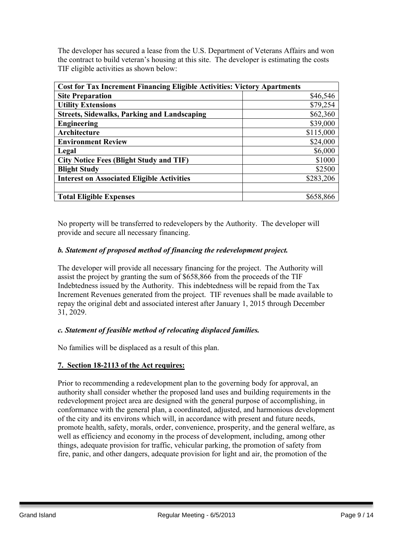The developer has secured a lease from the U.S. Department of Veterans Affairs and won the contract to build veteran's housing at this site. The developer is estimating the costs TIF eligible activities as shown below:

| <b>Cost for Tax Increment Financing Eligible Activities: Victory Apartments</b> |           |
|---------------------------------------------------------------------------------|-----------|
| <b>Site Preparation</b>                                                         | \$46,546  |
| <b>Utility Extensions</b>                                                       | \$79,254  |
| <b>Streets, Sidewalks, Parking and Landscaping</b>                              | \$62,360  |
| <b>Engineering</b>                                                              | \$39,000  |
| Architecture                                                                    | \$115,000 |
| <b>Environment Review</b>                                                       | \$24,000  |
| Legal                                                                           | \$6,000   |
| <b>City Notice Fees (Blight Study and TIF)</b>                                  | \$1000    |
| <b>Blight Study</b>                                                             | \$2500    |
| <b>Interest on Associated Eligible Activities</b>                               | \$283,206 |
|                                                                                 |           |
| <b>Total Eligible Expenses</b>                                                  | \$658,866 |

No property will be transferred to redevelopers by the Authority. The developer will provide and secure all necessary financing.

## *b. Statement of proposed method of financing the redevelopment project.*

The developer will provide all necessary financing for the project. The Authority will assist the project by granting the sum of \$658,866 from the proceeds of the TIF Indebtedness issued by the Authority. This indebtedness will be repaid from the Tax Increment Revenues generated from the project. TIF revenues shall be made available to repay the original debt and associated interest after January 1, 2015 through December 31, 2029.

## *c. Statement of feasible method of relocating displaced families.*

No families will be displaced as a result of this plan.

## **7. Section 18-2113 of the Act requires:**

Prior to recommending a redevelopment plan to the governing body for approval, an authority shall consider whether the proposed land uses and building requirements in the redevelopment project area are designed with the general purpose of accomplishing, in conformance with the general plan, a coordinated, adjusted, and harmonious development of the city and its environs which will, in accordance with present and future needs, promote health, safety, morals, order, convenience, prosperity, and the general welfare, as well as efficiency and economy in the process of development, including, among other things, adequate provision for traffic, vehicular parking, the promotion of safety from fire, panic, and other dangers, adequate provision for light and air, the promotion of the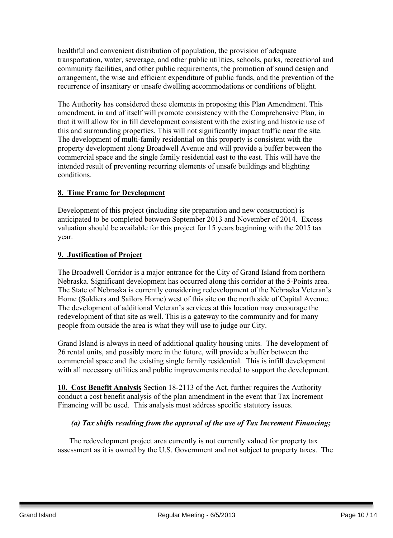healthful and convenient distribution of population, the provision of adequate transportation, water, sewerage, and other public utilities, schools, parks, recreational and community facilities, and other public requirements, the promotion of sound design and arrangement, the wise and efficient expenditure of public funds, and the prevention of the recurrence of insanitary or unsafe dwelling accommodations or conditions of blight.

The Authority has considered these elements in proposing this Plan Amendment. This amendment, in and of itself will promote consistency with the Comprehensive Plan, in that it will allow for in fill development consistent with the existing and historic use of this and surrounding properties. This will not significantly impact traffic near the site. The development of multi-family residential on this property is consistent with the property development along Broadwell Avenue and will provide a buffer between the commercial space and the single family residential east to the east. This will have the intended result of preventing recurring elements of unsafe buildings and blighting conditions.

## **8. Time Frame for Development**

Development of this project (including site preparation and new construction) is anticipated to be completed between September 2013 and November of 2014. Excess valuation should be available for this project for 15 years beginning with the 2015 tax year.

## **9. Justification of Project**

The Broadwell Corridor is a major entrance for the City of Grand Island from northern Nebraska. Significant development has occurred along this corridor at the 5-Points area. The State of Nebraska is currently considering redevelopment of the Nebraska Veteran's Home (Soldiers and Sailors Home) west of this site on the north side of Capital Avenue. The development of additional Veteran's services at this location may encourage the redevelopment of that site as well. This is a gateway to the community and for many people from outside the area is what they will use to judge our City.

Grand Island is always in need of additional quality housing units. The development of 26 rental units, and possibly more in the future, will provide a buffer between the commercial space and the existing single family residential. This is infill development with all necessary utilities and public improvements needed to support the development.

**10. Cost Benefit Analysis** Section 18-2113 of the Act, further requires the Authority conduct a cost benefit analysis of the plan amendment in the event that Tax Increment Financing will be used. This analysis must address specific statutory issues.

## *(a) Tax shifts resulting from the approval of the use of Tax Increment Financing;*

The redevelopment project area currently is not currently valued for property tax assessment as it is owned by the U.S. Government and not subject to property taxes. The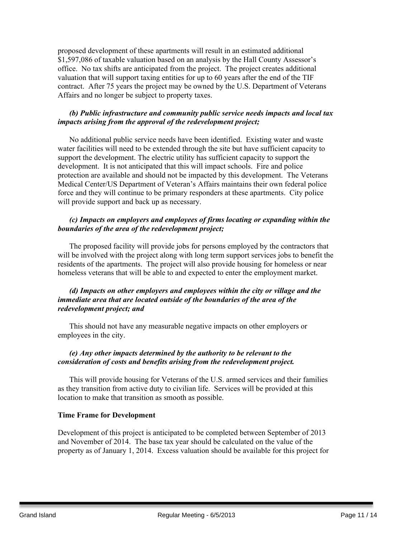proposed development of these apartments will result in an estimated additional \$1,597,086 of taxable valuation based on an analysis by the Hall County Assessor's office. No tax shifts are anticipated from the project. The project creates additional valuation that will support taxing entities for up to 60 years after the end of the TIF contract. After 75 years the project may be owned by the U.S. Department of Veterans Affairs and no longer be subject to property taxes.

## *(b) Public infrastructure and community public service needs impacts and local tax impacts arising from the approval of the redevelopment project;*

No additional public service needs have been identified. Existing water and waste water facilities will need to be extended through the site but have sufficient capacity to support the development. The electric utility has sufficient capacity to support the development. It is not anticipated that this will impact schools. Fire and police protection are available and should not be impacted by this development. The Veterans Medical Center/US Department of Veteran's Affairs maintains their own federal police force and they will continue to be primary responders at these apartments. City police will provide support and back up as necessary.

## *(c) Impacts on employers and employees of firms locating or expanding within the boundaries of the area of the redevelopment project;*

The proposed facility will provide jobs for persons employed by the contractors that will be involved with the project along with long term support services jobs to benefit the residents of the apartments. The project will also provide housing for homeless or near homeless veterans that will be able to and expected to enter the employment market.

## *(d) Impacts on other employers and employees within the city or village and the immediate area that are located outside of the boundaries of the area of the redevelopment project; and*

This should not have any measurable negative impacts on other employers or employees in the city.

#### *(e) Any other impacts determined by the authority to be relevant to the consideration of costs and benefits arising from the redevelopment project.*

This will provide housing for Veterans of the U.S. armed services and their families as they transition from active duty to civilian life. Services will be provided at this location to make that transition as smooth as possible.

#### **Time Frame for Development**

Development of this project is anticipated to be completed between September of 2013 and November of 2014. The base tax year should be calculated on the value of the property as of January 1, 2014. Excess valuation should be available for this project for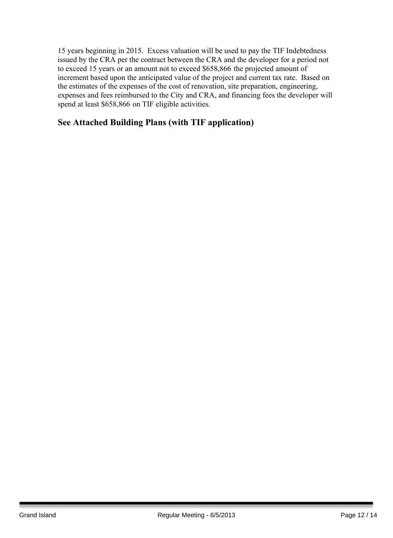15 years beginning in 2015. Excess valuation will be used to pay the TIF Indebtedness issued by the CRA per the contract between the CRA and the developer for a period not to exceed 15 years or an amount not to exceed \$658,866 the projected amount of increment based upon the anticipated value of the project and current tax rate. Based on the estimates of the expenses of the cost of renovation, site preparation, engineering, expenses and fees reimbursed to the City and CRA, and financing fees the developer will spend at least \$658,866 on TIF eligible activities.

## **See Attached Building Plans (with TIF application)**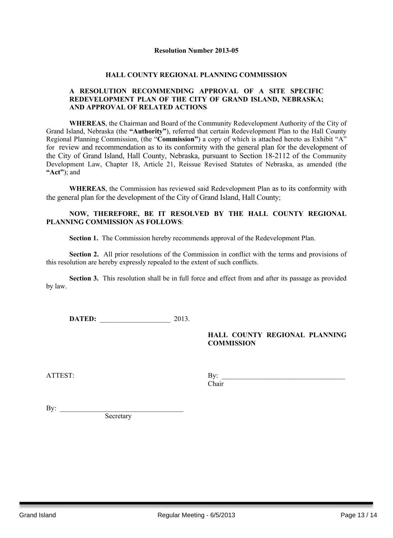#### **Resolution Number 2013-05**

#### **HALL COUNTY REGIONAL PLANNING COMMISSION**

#### **A RESOLUTION RECOMMENDING APPROVAL OF A SITE SPECIFIC REDEVELOPMENT PLAN OF THE CITY OF GRAND ISLAND, NEBRASKA; AND APPROVAL OF RELATED ACTIONS**

**WHEREAS**, the Chairman and Board of the Community Redevelopment Authority of the City of Grand Island, Nebraska (the **"Authority"**), referred that certain Redevelopment Plan to the Hall County Regional Planning Commission, (the "**Commission"**) a copy of which is attached hereto as Exhibit "A" for review and recommendation as to its conformity with the general plan for the development of the City of Grand Island, Hall County, Nebraska, pursuant to Section 18-2112 of the Community Development Law, Chapter 18, Article 21, Reissue Revised Statutes of Nebraska, as amended (the **"Act"**); and

**WHEREAS**, the Commission has reviewed said Redevelopment Plan as to its conformity with the general plan for the development of the City of Grand Island, Hall County;

#### **NOW, THEREFORE, BE IT RESOLVED BY THE HALL COUNTY REGIONAL PLANNING COMMISSION AS FOLLOWS**:

**Section 1.** The Commission hereby recommends approval of the Redevelopment Plan.

**Section 2.** All prior resolutions of the Commission in conflict with the terms and provisions of this resolution are hereby expressly repealed to the extent of such conflicts.

**Section 3.** This resolution shall be in full force and effect from and after its passage as provided by law.

**DATED:** 2013.

#### **HALL COUNTY REGIONAL PLANNING COMMISSION**

| $\sim$ $-$<br>Δ<br>$\sim$ 2 $\sim$<br>ີ | .<br>. .    |
|-----------------------------------------|-------------|
|                                         | ~·<br>hair! |

By:  $\frac{\text{c}}{\text{c}}$ **Secretary**